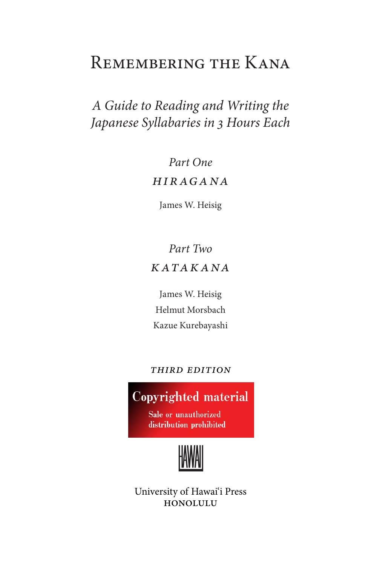# Remembering the Kana

# *A Guide to Reading and Writing the Japanese Syllabaries in 3 Hours Each*

# *Part One HIR AGANA*

James W. Heisig

# *Part Two katak ANA*

James W. Heisig Helmut Morsbach Kazue Kurebayashi

## *third edition*

# **Copyrighted material**

Sale or unauthorized distribution prohibited



University of Hawai'i Press honolulu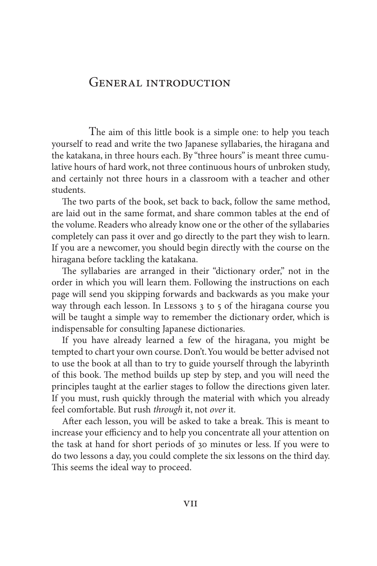## General introduction

 The aim of this little book is a simple one: to help you teach yourself to read and write the two Japanese syllabaries, the hiragana and the katakana, in three hours each. By "three hours" is meant three cumulative hours of hard work, not three continuous hours of unbroken study, and certainly not three hours in a classroom with a teacher and other students.

The two parts of the book, set back to back, follow the same method, are laid out in the same format, and share common tables at the end of the volume. Readers who already know one or the other of the syllabaries completely can pass it over and go directly to the part they wish to learn. If you are a newcomer, you should begin directly with the course on the hiragana before tackling the katakana.

The syllabaries are arranged in their "dictionary order," not in the order in which you will learn them. Following the instructions on each page will send you skipping forwards and backwards as you make your way through each lesson. In Lessons 3 to 5 of the hiragana course you will be taught a simple way to remember the dictionary order, which is indispensable for consulting Japanese dictionaries.

If you have already learned a few of the hiragana, you might be tempted to chart your own course. Don't. You would be better advised not to use the book at all than to try to guide yourself through the labyrinth of this book. The method builds up step by step, and you will need the principles taught at the earlier stages to follow the directions given later. If you must, rush quickly through the material with which you already feel comfortable. But rush *through* it, not *over* it.

After each lesson, you will be asked to take a break. This is meant to increase your efficiency and to help you concentrate all your attention on the task at hand for short periods of 30 minutes or less. If you were to do two lessons a day, you could complete the six lessons on the third day. This seems the ideal way to proceed.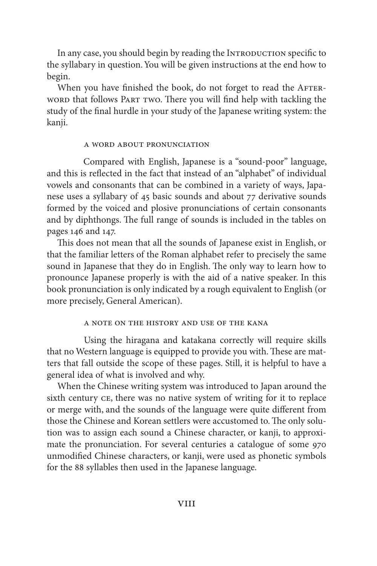In any case, you should begin by reading the INTRODUCTION specific to the syllabary in question. You will be given instructions at the end how to begin.

When you have finished the book, do not forget to read the AFTERword that follows Part two. There you will find help with tackling the study of the final hurdle in your study of the Japanese writing system: the kanji.

#### a word about pronunciation

Compared with English, Japanese is a "sound-poor" language, and this is reflected in the fact that instead of an "alphabet" of individual vowels and consonants that can be combined in a variety of ways, Japanese uses a syllabary of 45 basic sounds and about 77 derivative sounds formed by the voiced and plosive pronunciations of certain consonants and by diphthongs. The full range of sounds is included in the tables on pages 146 and 147.

This does not mean that all the sounds of Japanese exist in English, or that the familiar letters of the Roman alphabet refer to precisely the same sound in Japanese that they do in English. The only way to learn how to pronounce Japanese properly is with the aid of a native speaker. In this book pronunciation is only indicated by a rough equivalent to English (or more precisely, General American).

#### a note on the history and use of the kana

 Using the hiragana and katakana correctly will require skills that no Western language is equipped to provide you with. These are matters that fall outside the scope of these pages. Still, it is helpful to have a general idea of what is involved and why.

When the Chinese writing system was introduced to Japan around the sixth century ce, there was no native system of writing for it to replace or merge with, and the sounds of the language were quite different from those the Chinese and Korean settlers were accustomed to. The only solution was to assign each sound a Chinese character, or kanji, to approximate the pronunciation. For several centuries a catalogue of some 970 unmodified Chinese characters, or kanji, were used as phonetic symbols for the 88 syllables then used in the Japanese language.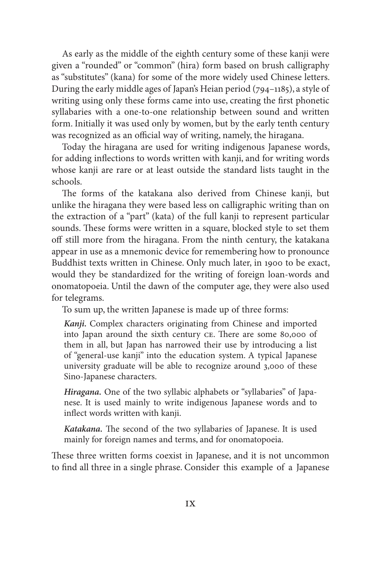As early as the middle of the eighth century some of these kanji were given a "rounded" or "common" (hira) form based on brush calligraphy as "substitutes" (kana) for some of the more widely used Chinese letters. During the early middle ages of Japan's Heian period (794–1185), a style of writing using only these forms came into use, creating the first phonetic syllabaries with a one-to-one relationship between sound and written form. Initially it was used only by women, but by the early tenth century was recognized as an official way of writing, namely, the hiragana.

Today the hiragana are used for writing indigenous Japanese words, for adding inflections to words written with kanji, and for writing words whose kanji are rare or at least outside the standard lists taught in the schools.

The forms of the katakana also derived from Chinese kanji, but unlike the hiragana they were based less on calligraphic writing than on the extraction of a "part" (kata) of the full kanji to represent particular sounds. These forms were written in a square, blocked style to set them off still more from the hiragana. From the ninth century, the katakana appear in use as a mnemonic device for remembering how to pronounce Buddhist texts written in Chinese. Only much later, in 1900 to be exact, would they be standardized for the writing of foreign loan-words and onomatopoeia. Until the dawn of the computer age, they were also used for telegrams.

To sum up, the written Japanese is made up of three forms:

*Kanji.* Complex characters originating from Chinese and imported into Japan around the sixth century ce. There are some 80,000 of them in all, but Japan has narrowed their use by introducing a list of "general-use kanji" into the education system. A typical Japanese university graduate will be able to recognize around 3,000 of these Sino-Japanese characters.

*Hiragana.* One of the two syllabic alphabets or "syllabaries" of Japanese. It is used mainly to write indigenous Japanese words and to inflect words written with kanji.

*Katakana.* The second of the two syllabaries of Japanese. It is used mainly for foreign names and terms, and for onomatopoeia.

These three written forms coexist in Japanese, and it is not uncommon to find all three in a single phrase. Consider this example of a Japanese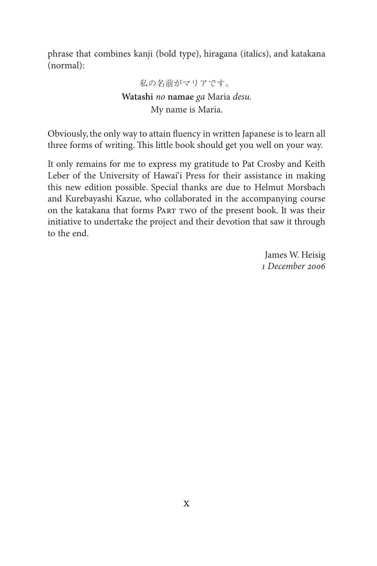phrase that combines kanji (bold type), hiragana (italics), and katakana (normal):

> 私の名前がマリアです。 **Watashi** *no* **namae** *ga* Maria *desu.* My name is Maria.

Obviously, the only way to attain fluency in written Japanese is to learn all three forms of writing. This little book should get you well on your way.

It only remains for me to express my gratitude to Pat Crosby and Keith Leber of the University of Hawai'i Press for their assistance in making this new edition possible. Special thanks are due to Helmut Morsbach and Kurebayashi Kazue, who collaborated in the accompanying course on the katakana that forms Part two of the present book. It was their initiative to undertake the project and their devotion that saw it through to the end.

> James W. Heisig *1 December 2006*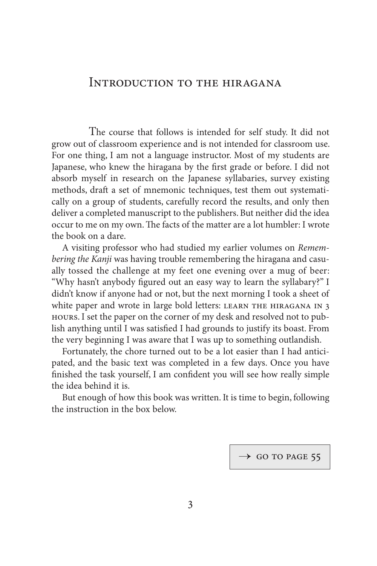## Introduction to the hiragana

 The course that follows is intended for self study. It did not grow out of classroom experience and is not intended for classroom use. For one thing, I am not a language instructor. Most of my students are Japanese, who knew the hiragana by the first grade or before. I did not absorb myself in research on the Japanese syllabaries, survey existing methods, draft a set of mnemonic techniques, test them out systematically on a group of students, carefully record the results, and only then deliver a completed manuscript to the publishers. But neither did the idea occur to me on my own. The facts of the matter are a lot humbler: I wrote the book on a dare.

A visiting professor who had studied my earlier volumes on *Remembering the Kanji* was having trouble remembering the hiragana and casually tossed the challenge at my feet one evening over a mug of beer: "Why hasn't anybody figured out an easy way to learn the syllabary?" I didn't know if anyone had or not, but the next morning I took a sheet of white paper and wrote in large bold letters: LEARN THE HIRAGANA IN 3 hours. I set the paper on the corner of my desk and resolved not to publish anything until I was satisfied I had grounds to justify its boast. From the very beginning I was aware that I was up to something outlandish.

Fortunately, the chore turned out to be a lot easier than I had anticipated, and the basic text was completed in a few days. Once you have finished the task yourself, I am confident you will see how really simple the idea behind it is.

But enough of how this book was written. It is time to begin, following the instruction in the box below.

 $\rightarrow$  GO TO PAGE 55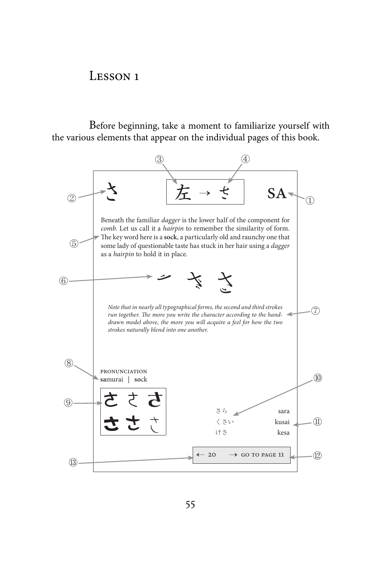## LESSON 1

Before beginning, take a moment to familiarize yourself with the various elements that appear on the individual pages of this book.

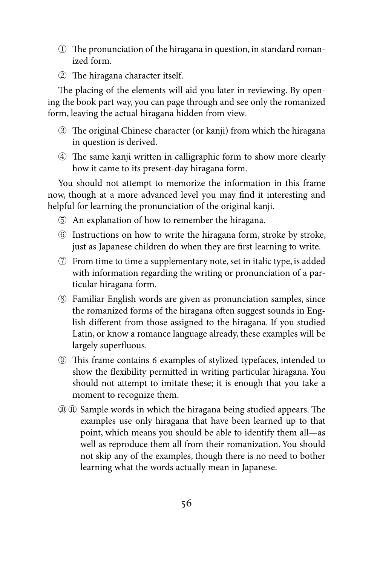- 西 The pronunciation of the hiragana in question, in standard romanized form.
- 要 The hiragana character itself.

The placing of the elements will aid you later in reviewing. By opening the book part way, you can page through and see only the romanized form, leaving the actual hiragana hidden from view.

- 覃 The original Chinese character (or kanji) from which the hiragana in question is derived.
- 覆 The same kanji written in calligraphic form to show more clearly how it came to its present-day hiragana form.

You should not attempt to memorize the information in this frame now, though at a more advanced level you may find it interesting and helpful for learning the pronunciation of the original kanji.

- 覇 An explanation of how to remember the hiragana.
- 覈 Instructions on how to write the hiragana form, stroke by stroke, just as Japanese children do when they are first learning to write.
- $\oslash$  From time to time a supplementary note, set in italic type, is added with information regarding the writing or pronunciation of a particular hiragana form.
- 見 Familiar English words are given as pronunciation samples, since the romanized forms of the hiragana often suggest sounds in English different from those assigned to the hiragana. If you studied Latin, or know a romance language already, these examples will be largely superfluous.
- **EXECUTE:** This frame contains 6 examples of stylized typefaces, intended to show the flexibility permitted in writing particular hiragana. You should not attempt to imitate these; it is enough that you take a moment to recognize them.
- 覓視 Sample words in which the hiragana being studied appears. The examples use only hiragana that have been learned up to that point, which means you should be able to identify them all—as well as reproduce them all from their romanization. You should not skip any of the examples, though there is no need to bother learning what the words actually mean in Japanese.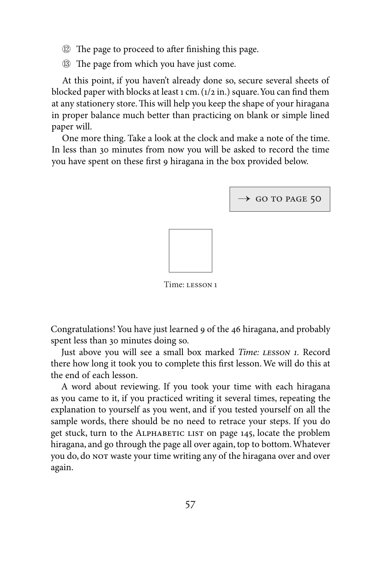- 覗 The page to proceed to after finishing this page.
- 覘 The page from which you have just come.

At this point, if you haven't already done so, secure several sheets of blocked paper with blocks at least 1 cm. (1/2 in.) square. You can find them at any stationery store. This will help you keep the shape of your hiragana in proper balance much better than practicing on blank or simple lined paper will.

One more thing. Take a look at the clock and make a note of the time. In less than 30 minutes from now you will be asked to record the time you have spent on these first 9 hiragana in the box provided below.



Time: lesson 1

Congratulations! You have just learned 9 of the 46 hiragana, and probably spent less than 30 minutes doing so.

Just above you will see a small box marked *Time: lesson 1.* Record there how long it took you to complete this first lesson. We will do this at the end of each lesson.

A word about reviewing. If you took your time with each hiragana as you came to it, if you practiced writing it several times, repeating the explanation to yourself as you went, and if you tested yourself on all the sample words, there should be no need to retrace your steps. If you do get stuck, turn to the ALPHABETIC LIST on page 145, locate the problem hiragana, and go through the page all over again, top to bottom. Whatever you do, do not waste your time writing any of the hiragana over and over again.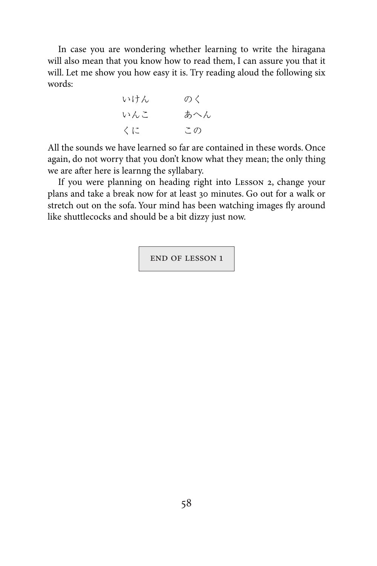In case you are wondering whether learning to write the hiragana will also mean that you know how to read them, I can assure you that it will. Let me show you how easy it is. Try reading aloud the following six words:

いけん のく いんこ あへん くに この

All the sounds we have learned so far are contained in these words. Once again, do not worry that you don't know what they mean; the only thing we are after here is learnng the syllabary.

If you were planning on heading right into Lesson 2, change your plans and take a break now for at least 30 minutes. Go out for a walk or stretch out on the sofa. Your mind has been watching images fly around like shuttlecocks and should be a bit dizzy just now.

end of lesson 1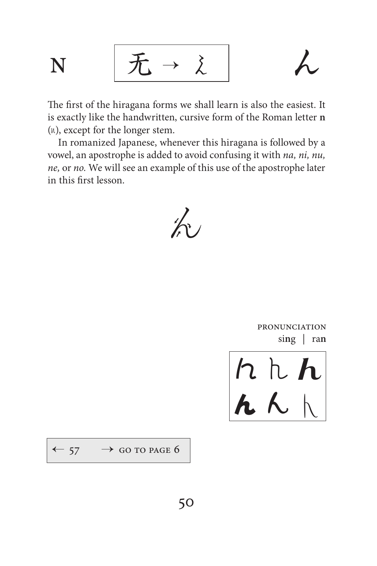$$
N \qquad \boxed{\mathcal{F} \rightarrow \lambda} \qquad \qquad \text{A}
$$

$$
\overline{\lambda}
$$

The first of the hiragana forms we shall learn is also the easiest. It is exactly like the handwritten, cursive form of the Roman letter **n**  $(h)$ , except for the longer stem.

In romanized Japanese, whenever this hiragana is followed by a vowel, an apostrophe is added to avoid confusing it with *na, ni, nu, ne,* or *no.* We will see an example of this use of the apostrophe later in this first lesson.

蟇

**PRONUNCIATION** si**n**g | ra**n**

**んんん**  $\lambda$   $\lambda$ 

 $\leftarrow$  57  $\rightarrow$  GO TO PAGE 6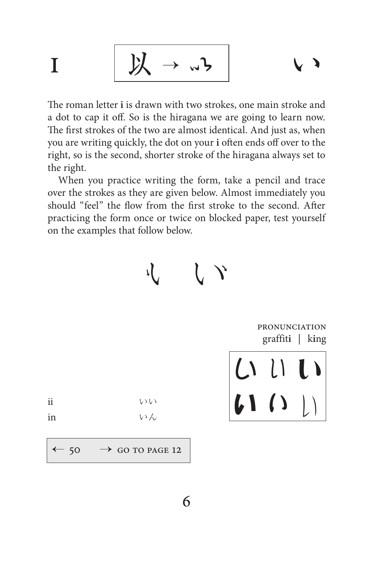$$
I \qquad \boxed{\mathcal{Y} \rightarrow \omega\mathcal{Y} \qquad \qquad \vee \mathcal{Y}}
$$

The roman letter **i** is drawn with two strokes, one main stroke and a dot to cap it off. So is the hiragana we are going to learn now. The first strokes of the two are almost identical. And just as, when you are writing quickly, the dot on your **i** often ends off over to the right, so is the second, shorter stroke of the hiragana always set to the right.

When you practice writing the form, take a pencil and trace over the strokes as they are given below. Almost immediately you should "feel" the flow from the first stroke to the second. After practicing the form once or twice on blocked paper, test yourself on the examples that follow below.

虍虎

pronunciation graffit**i** | k**i**ng

いい い (1()

ii いい

in いん

 $\rightarrow$  GO TO PAGE 12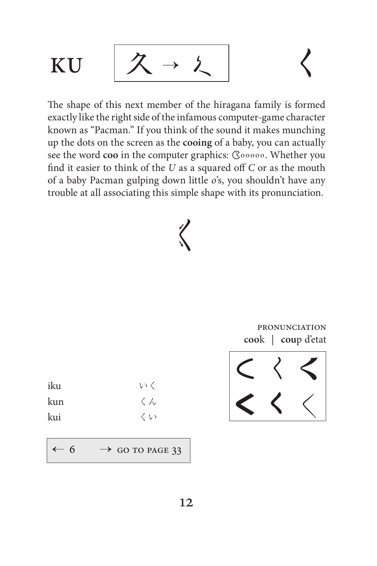

The shape of this next member of the hiragana family is formed exactly like the right side of the infamous computer-game character known as "Pacman." If you think of the sound it makes munching up the dots on the screen as the **cooing** of a baby, you can actually see the word coo in the computer graphics: **Cooooo**. Whether you find it easier to think of the *U* as a squared off *C* or as the mouth of a baby Pacman gulping down little *o*'s, you shouldn't have any trouble at all associating this simple shape with its pronunciation.

# 蚌

pronunciation **coo**k | **cou**p d'etat

| iku | いく |
|-----|----|
| kun | くん |
| kui | くい |

 $-6$   $\rightarrow$  GO TO PAGE 33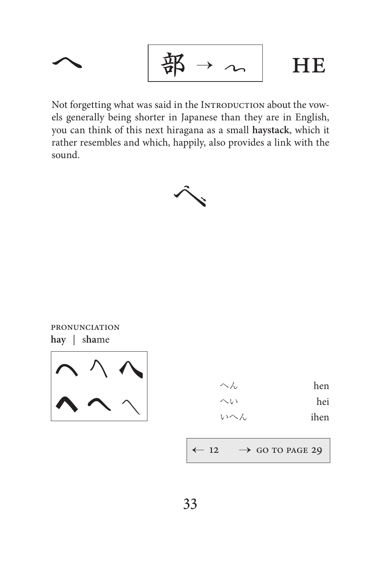$$
\begin{array}{c|c}\n\hline\n & \mathbf{m} \\
& \mathbf{m} \\
& \mathbf{m}\n\end{array}
$$

Not forgetting what was said in the INTRODUCTION about the vowels generally being shorter in Japanese than they are in English, you can think of this next hiragana as a small haystack, which it rather resembles and which, happily, also provides a link with the sound.



PRONUNCIATION hay | shame



| へん  | hen  |
|-----|------|
| へい  | hei  |
| いへん | ihen |

 $\rightarrow$  GO TO PAGE 29  $-12$ ↞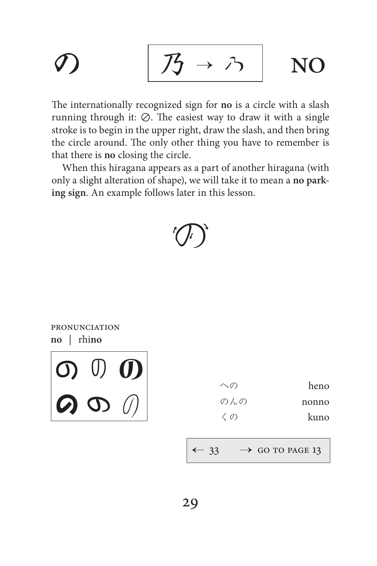$$
\mathcal{D} \qquad \boxed{\mathcal{B} \rightarrow \mathcal{P}} \quad \text{NO}
$$

The internationally recognized sign for no is a circle with a slash running through it:  $\oslash$ . The easiest way to draw it with a single stroke is to begin in the upper right, draw the slash, and then bring the circle around. The only other thing you have to remember is that there is no closing the circle.

When this hiragana appears as a part of another hiragana (with only a slight alteration of shape), we will take it to mean a no parking sign. An example follows later in this lesson.

## **PRONUNCIATION**  $no$  | rhino

 $\begin{bmatrix} 0 & 0 & 0 \\ 0 & 0 & 0 \end{bmatrix}$ 

| $\curvearrowright$ | heno  |
|--------------------|-------|
| のんの                | nonno |
| くの                 | kuno  |

 $\rightarrow$  GO TO PAGE 13  $-33$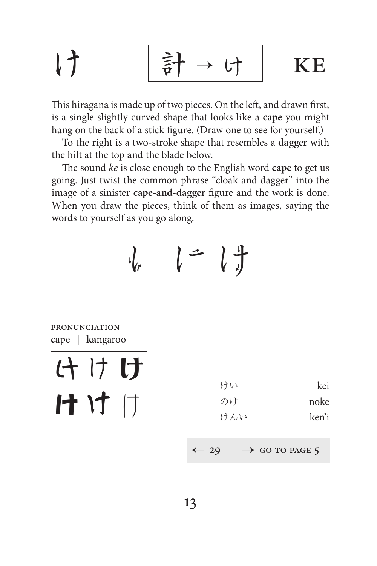$$
\begin{array}{ccc}\n\downarrow & \qquad & \uparrow & \rightarrow \uparrow & \qquad \text{KE}\n\end{array}
$$

This hiragana is made up of two pieces. On the left, and drawn first, is a single slightly curved shape that looks like a **cape** you might hang on the back of a stick figure. (Draw one to see for yourself.)

To the right is a two-stroke shape that resembles a **dagger** with the hilt at the top and the blade below.

The sound *ke* is close enough to the English word **cape** to get us going. Just twist the common phrase "cloak and dagger" into the image of a sinister **cape-and-dagger** figure and the work is done. When you draw the pieces, think of them as images, saying the words to yourself as you go along.

$$
\cdot l_r \qquad l = l \frac{4}{J}
$$

pronunciation **ca**pe | **ka**ngaroo

けけ け けけけ

| けい  | kei   |
|-----|-------|
| のけ  | noke  |
| けんい | ken'i |

 $29 \rightarrow$  GO TO PAGE 5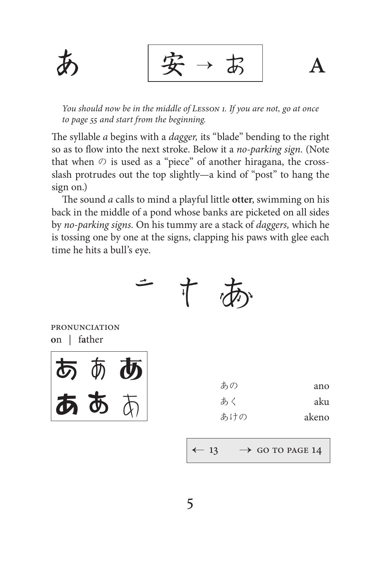$\mathbf{A}$ 

You should now be in the middle of LESSON 1. If you are not, go at once to page 55 and start from the beginning.

The syllable *a* begins with a *dagger*, its "blade" bending to the right so as to flow into the next stroke. Below it a no-parking sign. (Note that when  $\oslash$  is used as a "piece" of another hiragana, the crossslash protrudes out the top slightly—a kind of "post" to hang the sign on.)

The sound *a* calls to mind a playful little otter, swimming on his back in the middle of a pond whose banks are picketed on all sides by no-parking signs. On his tummy are a stack of *daggers*, which he is tossing one by one at the signs, clapping his paws with glee each time he hits a bull's eye.

丅

**PRONUNCIATION** on | father



| あの  | ano   |
|-----|-------|
| あく  | aku   |
| あけの | akeno |

 $\leftarrow$  13  $\rightarrow$  GO TO PAGE 14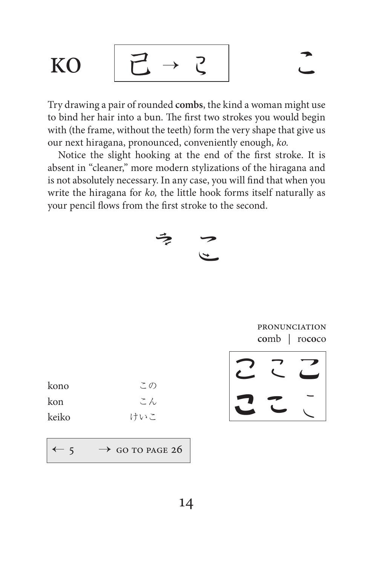KO 
$$
[Z \rightarrow Z]
$$
  $\sim$ 

Try drawing a pair of rounded combs, the kind a woman might use to bind her hair into a bun. The first two strokes you would begin with (the frame, without the teeth) form the very shape that give us our next hiragana, pronounced, conveniently enough, ko.

Notice the slight hooking at the end of the first stroke. It is absent in "cleaner," more modern stylizations of the hiragana and is not absolutely necessary. In any case, you will find that when you write the hiragana for ko, the little hook forms itself naturally as your pencil flows from the first stroke to the second.